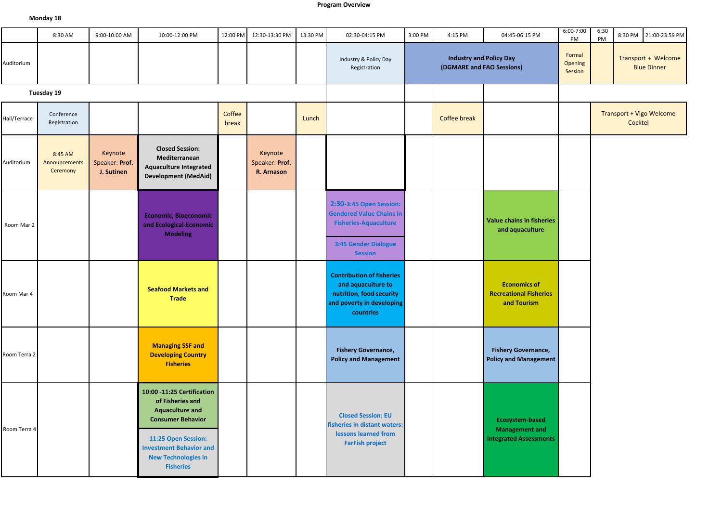## **Program Overview**

## **Monday 18**

|              | 8:30 AM                              | 9:00-10:00 AM                           | 10:00-12:00 PM                                                                                                                                                                                                  | 12:00 PM        | 12:30-13:30 PM                          | 13:30 PM | 02:30-04:15 PM                                                                                                                                 | 3:00 PM | 4:15 PM                                                     | 04:45-06:15 PM                                                            | 6:00-7:00<br>PM              | 6:30<br>PM | 8:30 PM 21:00-23:59 PM                    |
|--------------|--------------------------------------|-----------------------------------------|-----------------------------------------------------------------------------------------------------------------------------------------------------------------------------------------------------------------|-----------------|-----------------------------------------|----------|------------------------------------------------------------------------------------------------------------------------------------------------|---------|-------------------------------------------------------------|---------------------------------------------------------------------------|------------------------------|------------|-------------------------------------------|
| Auditorium   |                                      |                                         |                                                                                                                                                                                                                 |                 |                                         |          | Industry & Policy Day<br>Registration                                                                                                          |         | <b>Industry and Policy Day</b><br>(DGMARE and FAO Sessions) |                                                                           | Formal<br>Opening<br>Session |            | Transport + Welcome<br><b>Blue Dinner</b> |
|              | Tuesday 19                           |                                         |                                                                                                                                                                                                                 |                 |                                         |          |                                                                                                                                                |         |                                                             |                                                                           |                              |            |                                           |
| Hall/Terrace | Conference<br>Registration           |                                         |                                                                                                                                                                                                                 | Coffee<br>break |                                         | Lunch    |                                                                                                                                                |         | Coffee break                                                |                                                                           |                              |            | Transport + Vigo Welcome<br>Cocktel       |
| Auditorium   | 8:45 AM<br>Announcements<br>Ceremony | Keynote<br>Speaker: Prof.<br>J. Sutinen | <b>Closed Session:</b><br>Mediterranean<br><b>Aquaculture Integrated</b><br><b>Development (MedAid)</b>                                                                                                         |                 | Keynote<br>Speaker: Prof.<br>R. Arnason |          |                                                                                                                                                |         |                                                             |                                                                           |                              |            |                                           |
| Room Mar 2   |                                      |                                         | <b>Economic, Bioeconomic</b><br>and Ecological-Economic<br><b>Modeling</b>                                                                                                                                      |                 |                                         |          | 2:30-3:45 Open Session:<br><b>Gendered Value Chains in</b><br><b>Fisheries-Aquaculture</b><br>3:45 Gender Dialogue                             |         |                                                             | Value chains in fisheries<br>and aquaculture                              |                              |            |                                           |
| Room Mar 4   |                                      |                                         | <b>Seafood Markets and</b><br><b>Trade</b>                                                                                                                                                                      |                 |                                         |          | <b>Session</b><br><b>Contribution of fisheries</b><br>and aquaculture to<br>nutrition, food security<br>and poverty in developing<br>countries |         |                                                             | <b>Economics of</b><br><b>Recreational Fisheries</b><br>and Tourism       |                              |            |                                           |
| Room Terra 2 |                                      |                                         | <b>Managing SSF and</b><br><b>Developing Country</b><br><b>Fisheries</b>                                                                                                                                        |                 |                                         |          | <b>Fishery Governance,</b><br><b>Policy and Management</b>                                                                                     |         |                                                             | <b>Fishery Governance,</b><br><b>Policy and Management</b>                |                              |            |                                           |
| Room Terra 4 |                                      |                                         | 10:00 -11:25 Certification<br>of Fisheries and<br><b>Aquaculture and</b><br><b>Consumer Behavior</b><br>11:25 Open Session:<br><b>Investment Behavior and</b><br><b>New Technologies in</b><br><b>Fisheries</b> |                 |                                         |          | <b>Closed Session: EU</b><br>fisheries in distant waters:<br>lessons learned from<br><b>FarFish project</b>                                    |         |                                                             | Ecosystem-based<br><b>Management and</b><br><b>Integrated Assessments</b> |                              |            |                                           |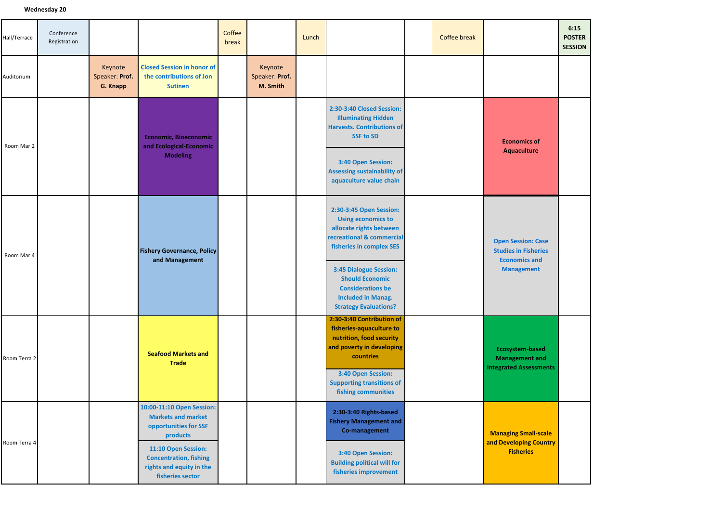| Hall/Terrace | Conference<br>Registration |                                       |                                                                                                                                                                                                     | Coffee<br>break |                                       | Lunch |                                                                                                                                                                                                                                                                                              | <b>Coffee break</b> |                                                                                                       | 6:15<br><b>POSTER</b><br><b>SESSION</b> |
|--------------|----------------------------|---------------------------------------|-----------------------------------------------------------------------------------------------------------------------------------------------------------------------------------------------------|-----------------|---------------------------------------|-------|----------------------------------------------------------------------------------------------------------------------------------------------------------------------------------------------------------------------------------------------------------------------------------------------|---------------------|-------------------------------------------------------------------------------------------------------|-----------------------------------------|
| Auditorium   |                            | Keynote<br>Speaker: Prof.<br>G. Knapp | <b>Closed Session in honor of</b><br>the contributions of Jon<br><b>Sutinen</b>                                                                                                                     |                 | Keynote<br>Speaker: Prof.<br>M. Smith |       |                                                                                                                                                                                                                                                                                              |                     |                                                                                                       |                                         |
| Room Mar 2   |                            |                                       | <b>Economic, Bioeconomic</b><br>and Ecological-Economic<br><b>Modeling</b>                                                                                                                          |                 |                                       |       | 2:30-3:40 Closed Session:<br><b>Illuminating Hidden</b><br><b>Harvests. Contributions of</b><br><b>SSF to SD</b><br>3:40 Open Session:<br><b>Assessing sustainability of</b><br>aquaculture value chain                                                                                      |                     | <b>Economics of</b><br>Aquaculture                                                                    |                                         |
| Room Mar 4   |                            |                                       | <b>Fishery Governance, Policy</b><br>and Management                                                                                                                                                 |                 |                                       |       | 2:30-3:45 Open Session:<br><b>Using economics to</b><br>allocate rights between<br>recreational & commercial<br>fisheries in complex SES<br><b>3:45 Dialogue Session:</b><br><b>Should Economic</b><br><b>Considerations be</b><br><b>Included in Manag.</b><br><b>Strategy Evaluations?</b> |                     | <b>Open Session: Case</b><br><b>Studies in Fisheries</b><br><b>Economics and</b><br><b>Management</b> |                                         |
| Room Terra 2 |                            |                                       | <b>Seafood Markets and</b><br><b>Trade</b>                                                                                                                                                          |                 |                                       |       | 2:30-3:40 Contribution of<br>fisheries-aquaculture to<br>nutrition, food security<br>and poverty in developing<br>countries<br>3:40 Open Session:<br><b>Supporting transitions of</b><br>fishing communities                                                                                 |                     | Ecosystem-based<br><b>Management and</b><br><b>Integrated Assessments</b>                             |                                         |
| Room Terra 4 |                            |                                       | 10:00-11:10 Open Session:<br><b>Markets and market</b><br>opportunities for SSF<br>products<br>11:10 Open Session:<br><b>Concentration, fishing</b><br>rights and equity in the<br>fisheries sector |                 |                                       |       | 2:30-3:40 Rights-based<br><b>Fishery Management and</b><br>Co-management<br>3:40 Open Session:<br><b>Building political will for</b><br>fisheries improvement                                                                                                                                |                     | <b>Managing Small-scale</b><br>and Developing Country<br><b>Fisheries</b>                             |                                         |